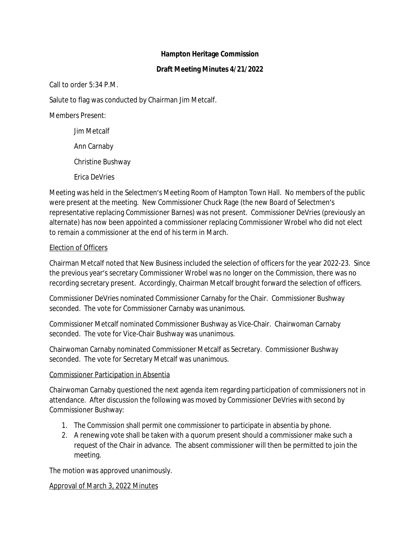#### **Hampton Heritage Commission**

#### **Draft Meeting Minutes 4/21/2022**

Call to order 5:34 P.M.

Salute to flag was conducted by Chairman Jim Metcalf.

Members Present:

Jim Metcalf

Ann Carnaby

Christine Bushway

Erica DeVries

Meeting was held in the Selectmen's Meeting Room of Hampton Town Hall. No members of the public were present at the meeting. New Commissioner Chuck Rage (the new Board of Selectmen's representative replacing Commissioner Barnes) was not present. Commissioner DeVries (previously an alternate) has now been appointed a commissioner replacing Commissioner Wrobel who did not elect to remain a commissioner at the end of his term in March.

### Election of Officers

Chairman Metcalf noted that New Business included the selection of officers for the year 2022-23. Since the previous year's secretary Commissioner Wrobel was no longer on the Commission, there was no recording secretary present. Accordingly, Chairman Metcalf brought forward the selection of officers.

Commissioner DeVries nominated Commissioner Carnaby for the Chair. Commissioner Bushway seconded. The vote for Commissioner Carnaby was unanimous.

Commissioner Metcalf nominated Commissioner Bushway as Vice-Chair. Chairwoman Carnaby seconded. The vote for Vice-Chair Bushway was unanimous.

Chairwoman Carnaby nominated Commissioner Metcalf as Secretary. Commissioner Bushway seconded. The vote for Secretary Metcalf was unanimous.

### Commissioner Participation in Absentia

Chairwoman Carnaby questioned the next agenda item regarding participation of commissioners not in attendance. After discussion the following was moved by Commissioner DeVries with second by Commissioner Bushway:

- 1. The Commission shall permit one commissioner to participate in absentia by phone.
- 2. A renewing vote shall be taken with a quorum present should a commissioner make such a request of the Chair in advance. The absent commissioner will then be permitted to join the meeting.

The motion was approved unanimously.

### Approval of March 3, 2022 Minutes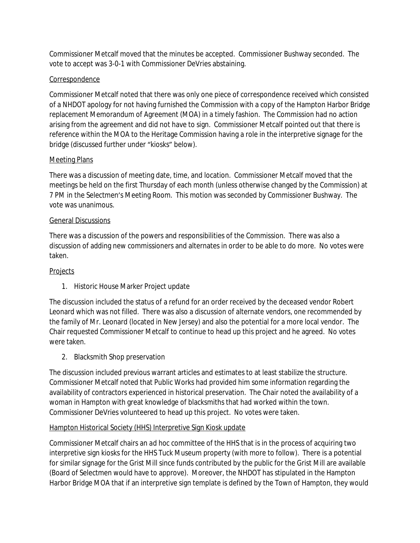Commissioner Metcalf moved that the minutes be accepted. Commissioner Bushway seconded. The vote to accept was 3-0-1 with Commissioner DeVries abstaining.

# Correspondence

Commissioner Metcalf noted that there was only one piece of correspondence received which consisted of a NHDOT apology for not having furnished the Commission with a copy of the Hampton Harbor Bridge replacement Memorandum of Agreement (MOA) in a timely fashion. The Commission had no action arising from the agreement and did not have to sign. Commissioner Metcalf pointed out that there is reference within the MOA to the Heritage Commission having a role in the interpretive signage for the bridge (discussed further under "kiosks" below).

## Meeting Plans

There was a discussion of meeting date, time, and location. Commissioner Metcalf moved that the meetings be held on the first Thursday of each month (unless otherwise changed by the Commission) at 7 PM in the Selectmen's Meeting Room. This motion was seconded by Commissioner Bushway. The vote was unanimous.

### General Discussions

There was a discussion of the powers and responsibilities of the Commission. There was also a discussion of adding new commissioners and alternates in order to be able to do more. No votes were taken.

## **Projects**

1. Historic House Marker Project update

The discussion included the status of a refund for an order received by the deceased vendor Robert Leonard which was not filled. There was also a discussion of alternate vendors, one recommended by the family of Mr. Leonard (located in New Jersey) and also the potential for a more local vendor. The Chair requested Commissioner Metcalf to continue to head up this project and he agreed. No votes were taken.

2. Blacksmith Shop preservation

The discussion included previous warrant articles and estimates to at least stabilize the structure. Commissioner Metcalf noted that Public Works had provided him some information regarding the availability of contractors experienced in historical preservation. The Chair noted the availability of a woman in Hampton with great knowledge of blacksmiths that had worked within the town. Commissioner DeVries volunteered to head up this project. No votes were taken.

### Hampton Historical Society (HHS) Interpretive Sign Kiosk update

Commissioner Metcalf chairs an *ad hoc* committee of the HHS that is in the process of acquiring two interpretive sign kiosks for the HHS Tuck Museum property (with more to follow). There is a potential for similar signage for the Grist Mill since funds contributed by the public for the Grist Mill are available (Board of Selectmen would have to approve). Moreover, the NHDOT has stipulated in the Hampton Harbor Bridge MOA that if an interpretive sign template is defined by the Town of Hampton, they would